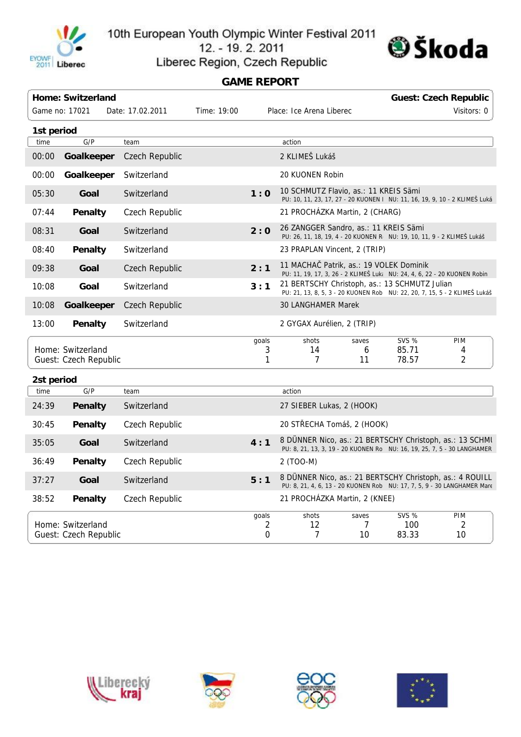

10th European Youth Olympic Winter Festival 2011 12. - 19. 2. 2011



## Liberec Region, Czech Republic **GAME REPORT**

|            | <b>Home: Switzerland</b>                   |                  |             |                 | Place: Ice Arena Liberec                                                                                                             |                  |                                | <b>Guest: Czech Republic</b> |  |  |
|------------|--------------------------------------------|------------------|-------------|-----------------|--------------------------------------------------------------------------------------------------------------------------------------|------------------|--------------------------------|------------------------------|--|--|
|            | Game no: 17021                             | Date: 17.02.2011 | Time: 19:00 |                 |                                                                                                                                      | Visitors: 0      |                                |                              |  |  |
| 1st period |                                            |                  |             |                 |                                                                                                                                      |                  |                                |                              |  |  |
| time       | G/P                                        | team             |             |                 | action                                                                                                                               |                  |                                |                              |  |  |
| 00:00      | Goalkeeper                                 | Czech Republic   |             |                 | 2 KLIMEŠ Lukáš                                                                                                                       |                  |                                |                              |  |  |
| 00:00      | Goalkeeper                                 | Switzerland      |             |                 | 20 KUONEN Robin                                                                                                                      |                  |                                |                              |  |  |
| 05:30      | Goal                                       | Switzerland      |             | 1:0             | 10 SCHMUTZ Flavio, as.: 11 KREIS Sämi<br>PU: 10, 11, 23, 17, 27 - 20 KUONEN   NU: 11, 16, 19, 9, 10 - 2 KLIMEŠ Luká                  |                  |                                |                              |  |  |
| 07:44      | Penalty                                    | Czech Republic   |             |                 | 21 PROCHÁZKA Martin, 2 (CHARG)                                                                                                       |                  |                                |                              |  |  |
| 08:31      | Goal                                       | Switzerland      |             | 2:0             | 26 ZANGGER Sandro, as.: 11 KREIS Sämi<br>PU: 26, 11, 18, 19, 4 - 20 KUONEN R NU: 19, 10, 11, 9 - 2 KLIMEŠ Lukáš                      |                  |                                |                              |  |  |
| 08:40      | Penalty                                    | Switzerland      |             |                 | 23 PRAPLAN Vincent, 2 (TRIP)                                                                                                         |                  |                                |                              |  |  |
| 09:38      | Goal                                       | Czech Republic   |             | 2:1             | 11 MACHA Patrik, as.: 19 VOLEK Dominik<br>PU: 11, 19, 17, 3, 26 - 2 KLIMEŠ Luk: NU: 24, 4, 6, 22 - 20 KUONEN Robin                   |                  |                                |                              |  |  |
| 10:08      | Goal                                       | Switzerland      |             | 3:1             | 21 BERTSCHY Christoph, as.: 13 SCHMUTZ Julian<br>PU: 21, 13, 8, 5, 3 - 20 KUONEN Robi NU: 22, 20, 7, 15, 5 - 2 KLIMEŠ Lukáš          |                  |                                |                              |  |  |
| 10:08      | Goalkeeper                                 | Czech Republic   |             |                 | <b>30 LANGHAMER Marek</b>                                                                                                            |                  |                                |                              |  |  |
| 13:00      | Penalty                                    | Switzerland      |             |                 | 2 GYGAX Aurélien, 2 (TRIP)                                                                                                           |                  |                                |                              |  |  |
|            | Home: Switzerland<br>Guest: Czech Republic |                  |             | qoals<br>3<br>1 | shots<br>14<br>$\overline{7}$                                                                                                        | saves<br>6<br>11 | <b>SVS %</b><br>85.71<br>78.57 | PIM<br>4<br>2                |  |  |
| 2st period |                                            |                  |             |                 |                                                                                                                                      |                  |                                |                              |  |  |
| time       | G/P                                        | team             |             |                 | action                                                                                                                               |                  |                                |                              |  |  |
| 24:39      | Penalty                                    | Switzerland      |             |                 | 27 SIEBER Lukas, 2 (HOOK)                                                                                                            |                  |                                |                              |  |  |
| 30:45      | Penalty                                    | Czech Republic   |             |                 | 20 ST ECHA Tomáš, 2 (HOOK)                                                                                                           |                  |                                |                              |  |  |
| 35:05      | Goal                                       | Switzerland      |             | 4:1             | 8 DÜNNER Nico, as.: 21 BERTSCHY Christoph, as.: 13 SCHML<br>PU: 8, 21, 13, 3, 19 - 20 KUONEN Rol NU: 16, 19, 25, 7, 5 - 30 LANGHAMER |                  |                                |                              |  |  |
| 36:49      | Penalty                                    | Czech Republic   |             |                 | 2 (TOO-M)                                                                                                                            |                  |                                |                              |  |  |
| 37:27      | Goal                                       | Switzerland      |             | 5:1             | 8 DÜNNER Nico, as.: 21 BERTSCHY Christoph, as.: 4 ROUILL<br>PU: 8, 21, 4, 6, 13 - 20 KUONEN Robi NU: 17, 7, 5, 9 - 30 LANGHAMER Mare |                  |                                |                              |  |  |
| 38:52      | Penalty                                    | Czech Republic   |             |                 | 21 PROCHÁZKA Martin, 2 (KNEE)                                                                                                        |                  |                                |                              |  |  |

Home: Switzerland Guest: Czech Republic goals shots saves SVS % PIM 2 0 12 7 7 10 100 83.33 2 10